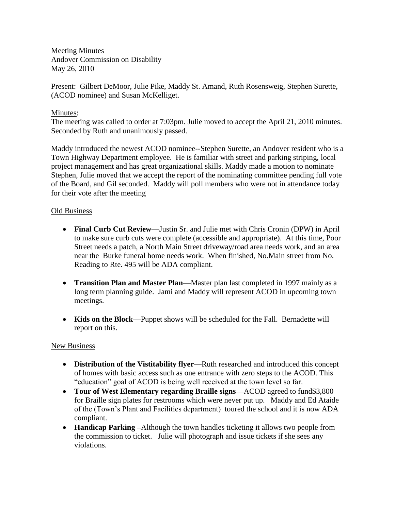Meeting Minutes Andover Commission on Disability May 26, 2010

Present: Gilbert DeMoor, Julie Pike, Maddy St. Amand, Ruth Rosensweig, Stephen Surette, (ACOD nominee) and Susan McKelliget.

## Minutes:

The meeting was called to order at 7:03pm. Julie moved to accept the April 21, 2010 minutes. Seconded by Ruth and unanimously passed.

Maddy introduced the newest ACOD nominee--Stephen Surette, an Andover resident who is a Town Highway Department employee. He is familiar with street and parking striping, local project management and has great organizational skills. Maddy made a motion to nominate Stephen, Julie moved that we accept the report of the nominating committee pending full vote of the Board, and Gil seconded. Maddy will poll members who were not in attendance today for their vote after the meeting

## Old Business

- **Final Curb Cut Review**—Justin Sr. and Julie met with Chris Cronin (DPW) in April to make sure curb cuts were complete (accessible and appropriate). At this time, Poor Street needs a patch, a North Main Street driveway/road area needs work, and an area near the Burke funeral home needs work. When finished, No.Main street from No. Reading to Rte. 495 will be ADA compliant.
- **Transition Plan and Master Plan**—Master plan last completed in 1997 mainly as a long term planning guide. Jami and Maddy will represent ACOD in upcoming town meetings.
- **Kids on the Block**—Puppet shows will be scheduled for the Fall. Bernadette will report on this.

#### New Business

- **Distribution of the Vistitability flyer**—Ruth researched and introduced this concept of homes with basic access such as one entrance with zero steps to the ACOD. This "education" goal of ACOD is being well received at the town level so far.
- **Tour of West Elementary regarding Braille signs—**ACOD agreed to fund\$3,800 for Braille sign plates for restrooms which were never put up. Maddy and Ed Ataide of the (Town's Plant and Facilities department) toured the school and it is now ADA compliant.
- **Handicap Parking –**Although the town handles ticketing it allows two people from the commission to ticket. Julie will photograph and issue tickets if she sees any violations.